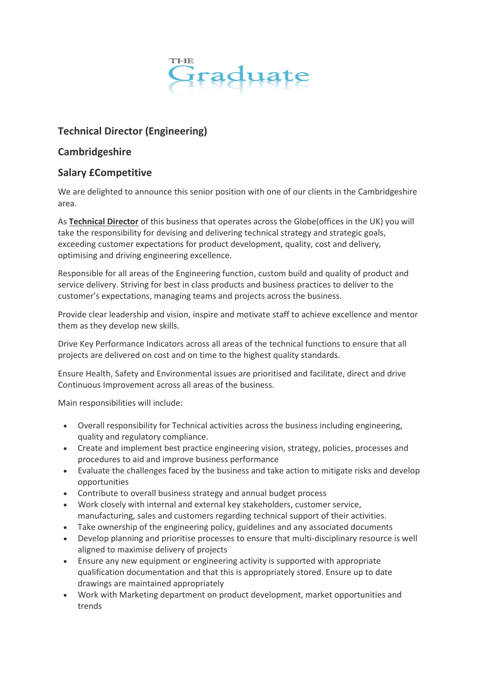

# **Technical Director (Engineering)**

### **Cambridgeshire**

## **Salary £Competitive**

We are delighted to announce this senior position with one of our clients in the Cambridgeshire area.

As **Technical Director** of this business that operates across the Globe(offices in the UK) you will take the responsibility for devising and delivering technical strategy and strategic goals, exceeding customer expectations for product development, quality, cost and delivery, optimising and driving engineering excellence.

Responsible for all areas of the Engineering function, custom build and quality of product and service delivery. Striving for best in class products and business practices to deliver to the customer's expectations, managing teams and projects across the business.

Provide clear leadership and vision, inspire and motivate staff to achieve excellence and mentor them as they develop new skills.

Drive Key Performance Indicators across all areas of the technical functions to ensure that all projects are delivered on cost and on time to the highest quality standards.

Ensure Health, Safety and Environmental issues are prioritised and facilitate, direct and drive Continuous Improvement across all areas of the business.

Main responsibilities will include:

- Overall responsibility for Technical activities across the business including engineering, quality and regulatory compliance.
- Create and implement best practice engineering vision, strategy, policies, processes and procedures to aid and improve business performance
- Evaluate the challenges faced by the business and take action to mitigate risks and develop opportunities
- Contribute to overall business strategy and annual budget process
- Work closely with internal and external key stakeholders, customer service, manufacturing, sales and customers regarding technical support of their activities.
- Take ownership of the engineering policy, guidelines and any associated documents
- Develop planning and prioritise processes to ensure that multi-disciplinary resource is well aligned to maximise delivery of projects
- Ensure any new equipment or engineering activity is supported with appropriate qualification documentation and that this is appropriately stored. Ensure up to date drawings are maintained appropriately
- Work with Marketing department on product development, market opportunities and trends